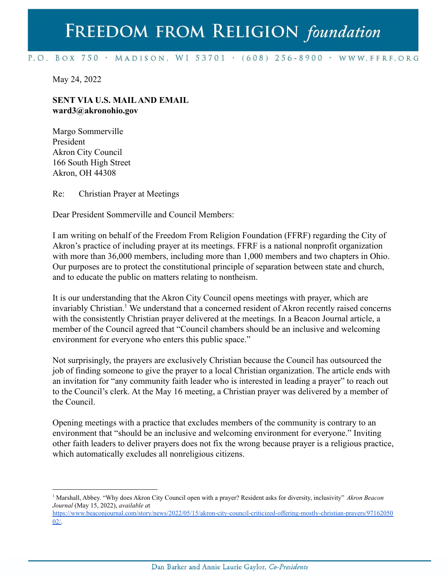## FREEDOM FROM RELIGION foundation

## P.O. BOX 750 > MADISON, WI 53701 > (608) 256-8900 > WWW.FFRF.ORG

May 24, 2022

## **SENT VIA U.S. MAILAND EMAIL ward3@akronohio.gov**

Margo Sommerville President Akron City Council 166 South High Street Akron, OH 44308

Re: Christian Prayer at Meetings

Dear President Sommerville and Council Members:

I am writing on behalf of the Freedom From Religion Foundation (FFRF) regarding the City of Akron's practice of including prayer at its meetings. FFRF is a national nonprofit organization with more than 36,000 members, including more than 1,000 members and two chapters in Ohio. Our purposes are to protect the constitutional principle of separation between state and church, and to educate the public on matters relating to nontheism.

It is our understanding that the Akron City Council opens meetings with prayer, which are invariably Christian.<sup>1</sup> We understand that a concerned resident of Akron recently raised concerns with the consistently Christian prayer delivered at the meetings. In a Beacon Journal article, a member of the Council agreed that "Council chambers should be an inclusive and welcoming environment for everyone who enters this public space."

Not surprisingly, the prayers are exclusively Christian because the Council has outsourced the job of finding someone to give the prayer to a local Christian organization. The article ends with an invitation for "any community faith leader who is interested in leading a prayer" to reach out to the Council's clerk. At the May 16 meeting, a Christian prayer was delivered by a member of the Council.

Opening meetings with a practice that excludes members of the community is contrary to an environment that "should be an inclusive and welcoming environment for everyone." Inviting other faith leaders to deliver prayers does not fix the wrong because prayer is a religious practice, which automatically excludes all nonreligious citizens.

<sup>1</sup> Marshall, Abbey. "Why does Akron City Council open with a prayer? Resident asks for diversity, inclusivity" *Akron Beacon Journal* (May 15, 2022), *available a*t

[https://www.beaconjournal.com/story/news/2022/05/15/akron-city-council-criticized-offering-mostly-christian-prayers/97162050](https://www.beaconjournal.com/story/news/2022/05/15/akron-city-council-criticized-offering-mostly-christian-prayers/9716205002/) [02/.](https://www.beaconjournal.com/story/news/2022/05/15/akron-city-council-criticized-offering-mostly-christian-prayers/9716205002/)